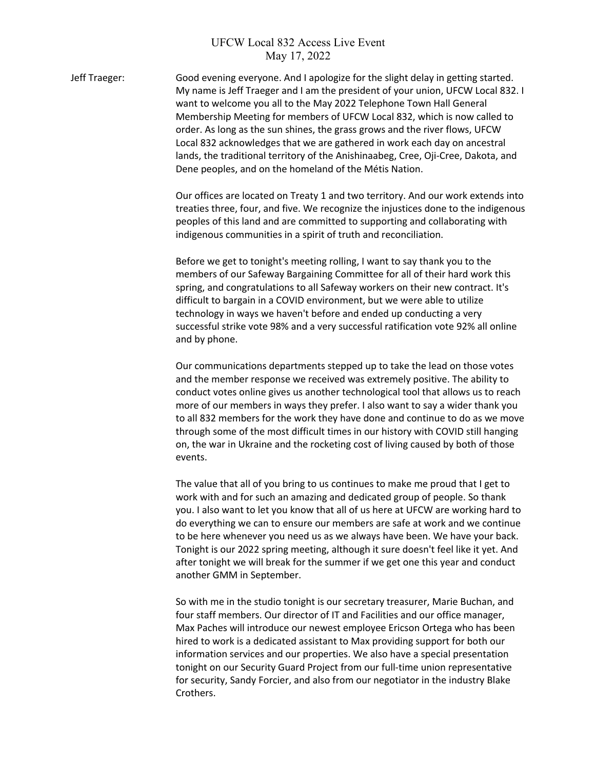## UFCW Local 832 Access Live Event May 17, 2022

Jeff Traeger: Good evening everyone. And I apologize for the slight delay in getting started. My name is Jeff Traeger and I am the president of your union, UFCW Local 832. I want to welcome you all to the May 2022 Telephone Town Hall General Membership Meeting for members of UFCW Local 832, which is now called to order. As long as the sun shines, the grass grows and the river flows, UFCW Local 832 acknowledges that we are gathered in work each day on ancestral lands, the traditional territory of the Anishinaabeg, Cree, Oji-Cree, Dakota, and Dene peoples, and on the homeland of the Métis Nation.

> Our offices are located on Treaty 1 and two territory. And our work extends into treaties three, four, and five. We recognize the injustices done to the indigenous peoples of this land and are committed to supporting and collaborating with indigenous communities in a spirit of truth and reconciliation.

Before we get to tonight's meeting rolling, I want to say thank you to the members of our Safeway Bargaining Committee for all of their hard work this spring, and congratulations to all Safeway workers on their new contract. It's difficult to bargain in a COVID environment, but we were able to utilize technology in ways we haven't before and ended up conducting a very successful strike vote 98% and a very successful ratification vote 92% all online and by phone.

Our communications departments stepped up to take the lead on those votes and the member response we received was extremely positive. The ability to conduct votes online gives us another technological tool that allows us to reach more of our members in ways they prefer. I also want to say a wider thank you to all 832 members for the work they have done and continue to do as we move through some of the most difficult times in our history with COVID still hanging on, the war in Ukraine and the rocketing cost of living caused by both of those events.

The value that all of you bring to us continues to make me proud that I get to work with and for such an amazing and dedicated group of people. So thank you. I also want to let you know that all of us here at UFCW are working hard to do everything we can to ensure our members are safe at work and we continue to be here whenever you need us as we always have been. We have your back. Tonight is our 2022 spring meeting, although it sure doesn't feel like it yet. And after tonight we will break for the summer if we get one this year and conduct another GMM in September.

So with me in the studio tonight is our secretary treasurer, Marie Buchan, and four staff members. Our director of IT and Facilities and our office manager, Max Paches will introduce our newest employee Ericson Ortega who has been hired to work is a dedicated assistant to Max providing support for both our information services and our properties. We also have a special presentation tonight on our Security Guard Project from our full-time union representative for security, Sandy Forcier, and also from our negotiator in the industry Blake Crothers.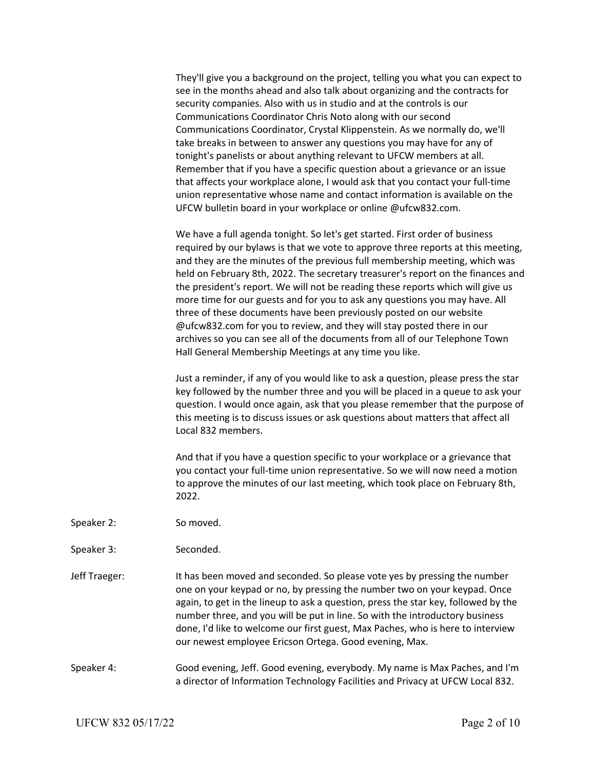They'll give you a background on the project, telling you what you can expect to see in the months ahead and also talk about organizing and the contracts for security companies. Also with us in studio and at the controls is our Communications Coordinator Chris Noto along with our second Communications Coordinator, Crystal Klippenstein. As we normally do, we'll take breaks in between to answer any questions you may have for any of tonight's panelists or about anything relevant to UFCW members at all. Remember that if you have a specific question about a grievance or an issue that affects your workplace alone, I would ask that you contact your full-time union representative whose name and contact information is available on the UFCW bulletin board in your workplace or online @ufcw832.com.

We have a full agenda tonight. So let's get started. First order of business required by our bylaws is that we vote to approve three reports at this meeting, and they are the minutes of the previous full membership meeting, which was held on February 8th, 2022. The secretary treasurer's report on the finances and the president's report. We will not be reading these reports which will give us more time for our guests and for you to ask any questions you may have. All three of these documents have been previously posted on our website @ufcw832.com for you to review, and they will stay posted there in our archives so you can see all of the documents from all of our Telephone Town Hall General Membership Meetings at any time you like.

Just a reminder, if any of you would like to ask a question, please press the star key followed by the number three and you will be placed in a queue to ask your question. I would once again, ask that you please remember that the purpose of this meeting is to discuss issues or ask questions about matters that affect all Local 832 members.

And that if you have a question specific to your workplace or a grievance that you contact your full-time union representative. So we will now need a motion to approve the minutes of our last meeting, which took place on February 8th, 2022.

- Speaker 2: So moved.
- Speaker 3: Seconded.
- Jeff Traeger: It has been moved and seconded. So please vote yes by pressing the number one on your keypad or no, by pressing the number two on your keypad. Once again, to get in the lineup to ask a question, press the star key, followed by the number three, and you will be put in line. So with the introductory business done, I'd like to welcome our first guest, Max Paches, who is here to interview our newest employee Ericson Ortega. Good evening, Max.
- Speaker 4: Good evening, Jeff. Good evening, everybody. My name is Max Paches, and I'm a director of Information Technology Facilities and Privacy at UFCW Local 832.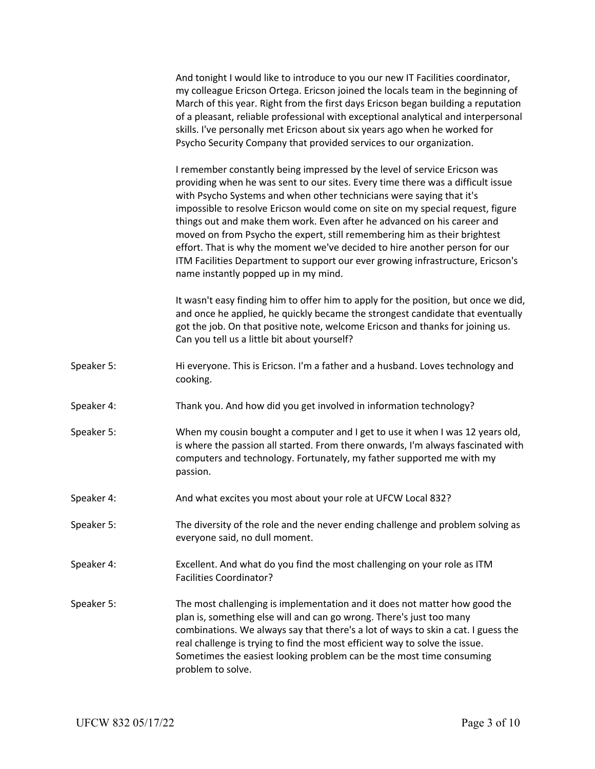|            | And tonight I would like to introduce to you our new IT Facilities coordinator,<br>my colleague Ericson Ortega. Ericson joined the locals team in the beginning of<br>March of this year. Right from the first days Ericson began building a reputation<br>of a pleasant, reliable professional with exceptional analytical and interpersonal<br>skills. I've personally met Ericson about six years ago when he worked for<br>Psycho Security Company that provided services to our organization.                                                                                                                                                                                       |
|------------|------------------------------------------------------------------------------------------------------------------------------------------------------------------------------------------------------------------------------------------------------------------------------------------------------------------------------------------------------------------------------------------------------------------------------------------------------------------------------------------------------------------------------------------------------------------------------------------------------------------------------------------------------------------------------------------|
|            | I remember constantly being impressed by the level of service Ericson was<br>providing when he was sent to our sites. Every time there was a difficult issue<br>with Psycho Systems and when other technicians were saying that it's<br>impossible to resolve Ericson would come on site on my special request, figure<br>things out and make them work. Even after he advanced on his career and<br>moved on from Psycho the expert, still remembering him as their brightest<br>effort. That is why the moment we've decided to hire another person for our<br>ITM Facilities Department to support our ever growing infrastructure, Ericson's<br>name instantly popped up in my mind. |
|            | It wasn't easy finding him to offer him to apply for the position, but once we did,<br>and once he applied, he quickly became the strongest candidate that eventually<br>got the job. On that positive note, welcome Ericson and thanks for joining us.<br>Can you tell us a little bit about yourself?                                                                                                                                                                                                                                                                                                                                                                                  |
| Speaker 5: | Hi everyone. This is Ericson. I'm a father and a husband. Loves technology and<br>cooking.                                                                                                                                                                                                                                                                                                                                                                                                                                                                                                                                                                                               |
| Speaker 4: | Thank you. And how did you get involved in information technology?                                                                                                                                                                                                                                                                                                                                                                                                                                                                                                                                                                                                                       |
| Speaker 5: | When my cousin bought a computer and I get to use it when I was 12 years old,<br>is where the passion all started. From there onwards, I'm always fascinated with<br>computers and technology. Fortunately, my father supported me with my<br>passion.                                                                                                                                                                                                                                                                                                                                                                                                                                   |
| Speaker 4: | And what excites you most about your role at UFCW Local 832?                                                                                                                                                                                                                                                                                                                                                                                                                                                                                                                                                                                                                             |
| Speaker 5: | The diversity of the role and the never ending challenge and problem solving as<br>everyone said, no dull moment.                                                                                                                                                                                                                                                                                                                                                                                                                                                                                                                                                                        |
| Speaker 4: | Excellent. And what do you find the most challenging on your role as ITM<br><b>Facilities Coordinator?</b>                                                                                                                                                                                                                                                                                                                                                                                                                                                                                                                                                                               |
| Speaker 5: | The most challenging is implementation and it does not matter how good the<br>plan is, something else will and can go wrong. There's just too many<br>combinations. We always say that there's a lot of ways to skin a cat. I guess the<br>real challenge is trying to find the most efficient way to solve the issue.<br>Sometimes the easiest looking problem can be the most time consuming<br>problem to solve.                                                                                                                                                                                                                                                                      |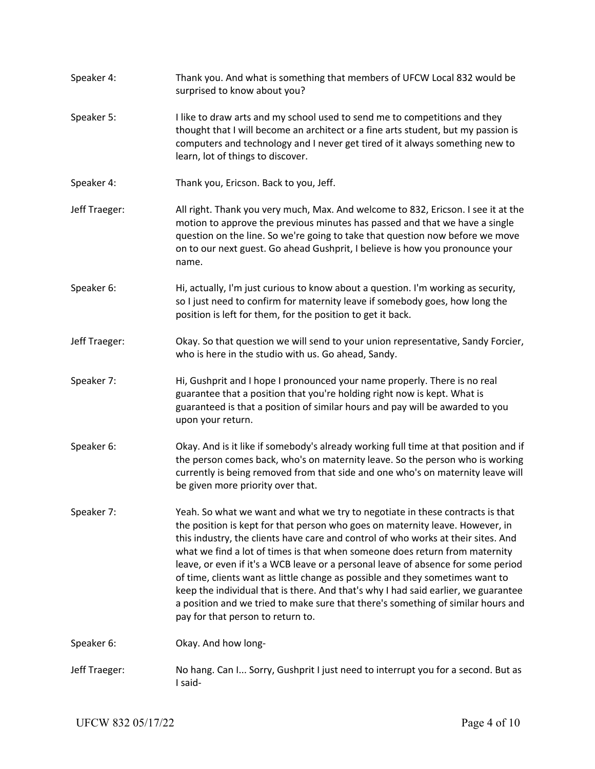Speaker 4: Thank you. And what is something that members of UFCW Local 832 would be surprised to know about you? Speaker 5: I like to draw arts and my school used to send me to competitions and they thought that I will become an architect or a fine arts student, but my passion is computers and technology and I never get tired of it always something new to learn, lot of things to discover. Speaker 4: Thank you, Ericson. Back to you, Jeff. Jeff Traeger: All right. Thank you very much, Max. And welcome to 832, Ericson. I see it at the motion to approve the previous minutes has passed and that we have a single question on the line. So we're going to take that question now before we move on to our next guest. Go ahead Gushprit, I believe is how you pronounce your name. Speaker 6: Hi, actually, I'm just curious to know about a question. I'm working as security, so I just need to confirm for maternity leave if somebody goes, how long the position is left for them, for the position to get it back. Jeff Traeger: Okay. So that question we will send to your union representative, Sandy Forcier, who is here in the studio with us. Go ahead, Sandy. Speaker 7: Hi, Gushprit and I hope I pronounced your name properly. There is no real guarantee that a position that you're holding right now is kept. What is guaranteed is that a position of similar hours and pay will be awarded to you upon your return. Speaker 6: Okay. And is it like if somebody's already working full time at that position and if the person comes back, who's on maternity leave. So the person who is working currently is being removed from that side and one who's on maternity leave will be given more priority over that. Speaker 7: Yeah. So what we want and what we try to negotiate in these contracts is that the position is kept for that person who goes on maternity leave. However, in this industry, the clients have care and control of who works at their sites. And what we find a lot of times is that when someone does return from maternity leave, or even if it's a WCB leave or a personal leave of absence for some period of time, clients want as little change as possible and they sometimes want to keep the individual that is there. And that's why I had said earlier, we guarantee a position and we tried to make sure that there's something of similar hours and pay for that person to return to. Speaker 6: Chay. And how long-Jeff Traeger: No hang. Can I... Sorry, Gushprit I just need to interrupt you for a second. But as I said-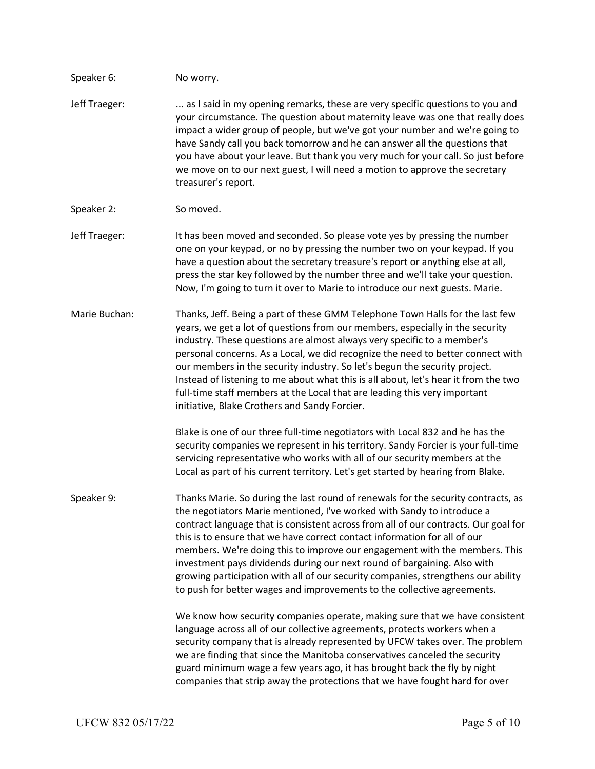| Speaker 6:    | No worry.                                                                                                                                                                                                                                                                                                                                                                                                                                                                                                                                                                                                                                                 |
|---------------|-----------------------------------------------------------------------------------------------------------------------------------------------------------------------------------------------------------------------------------------------------------------------------------------------------------------------------------------------------------------------------------------------------------------------------------------------------------------------------------------------------------------------------------------------------------------------------------------------------------------------------------------------------------|
| Jeff Traeger: | as I said in my opening remarks, these are very specific questions to you and<br>your circumstance. The question about maternity leave was one that really does<br>impact a wider group of people, but we've got your number and we're going to<br>have Sandy call you back tomorrow and he can answer all the questions that<br>you have about your leave. But thank you very much for your call. So just before<br>we move on to our next guest, I will need a motion to approve the secretary<br>treasurer's report.                                                                                                                                   |
| Speaker 2:    | So moved.                                                                                                                                                                                                                                                                                                                                                                                                                                                                                                                                                                                                                                                 |
| Jeff Traeger: | It has been moved and seconded. So please vote yes by pressing the number<br>one on your keypad, or no by pressing the number two on your keypad. If you<br>have a question about the secretary treasure's report or anything else at all,<br>press the star key followed by the number three and we'll take your question.<br>Now, I'm going to turn it over to Marie to introduce our next guests. Marie.                                                                                                                                                                                                                                               |
| Marie Buchan: | Thanks, Jeff. Being a part of these GMM Telephone Town Halls for the last few<br>years, we get a lot of questions from our members, especially in the security<br>industry. These questions are almost always very specific to a member's<br>personal concerns. As a Local, we did recognize the need to better connect with<br>our members in the security industry. So let's begun the security project.<br>Instead of listening to me about what this is all about, let's hear it from the two<br>full-time staff members at the Local that are leading this very important<br>initiative, Blake Crothers and Sandy Forcier.                           |
|               | Blake is one of our three full-time negotiators with Local 832 and he has the<br>security companies we represent in his territory. Sandy Forcier is your full-time<br>servicing representative who works with all of our security members at the<br>Local as part of his current territory. Let's get started by hearing from Blake.                                                                                                                                                                                                                                                                                                                      |
| Speaker 9:    | Thanks Marie. So during the last round of renewals for the security contracts, as<br>the negotiators Marie mentioned, I've worked with Sandy to introduce a<br>contract language that is consistent across from all of our contracts. Our goal for<br>this is to ensure that we have correct contact information for all of our<br>members. We're doing this to improve our engagement with the members. This<br>investment pays dividends during our next round of bargaining. Also with<br>growing participation with all of our security companies, strengthens our ability<br>to push for better wages and improvements to the collective agreements. |
|               | We know how security companies operate, making sure that we have consistent<br>language across all of our collective agreements, protects workers when a<br>security company that is already represented by UFCW takes over. The problem<br>we are finding that since the Manitoba conservatives canceled the security<br>guard minimum wage a few years ago, it has brought back the fly by night<br>companies that strip away the protections that we have fought hard for over                                                                                                                                                                         |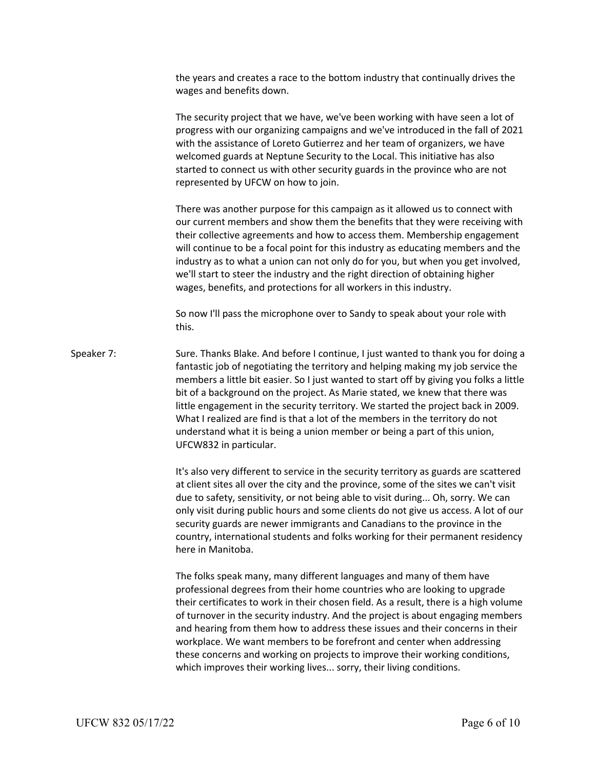the years and creates a race to the bottom industry that continually drives the wages and benefits down.

The security project that we have, we've been working with have seen a lot of progress with our organizing campaigns and we've introduced in the fall of 2021 with the assistance of Loreto Gutierrez and her team of organizers, we have welcomed guards at Neptune Security to the Local. This initiative has also started to connect us with other security guards in the province who are not represented by UFCW on how to join.

There was another purpose for this campaign as it allowed us to connect with our current members and show them the benefits that they were receiving with their collective agreements and how to access them. Membership engagement will continue to be a focal point for this industry as educating members and the industry as to what a union can not only do for you, but when you get involved, we'll start to steer the industry and the right direction of obtaining higher wages, benefits, and protections for all workers in this industry.

So now I'll pass the microphone over to Sandy to speak about your role with this.

Speaker 7: Sure. Thanks Blake. And before I continue, I just wanted to thank you for doing a fantastic job of negotiating the territory and helping making my job service the members a little bit easier. So I just wanted to start off by giving you folks a little bit of a background on the project. As Marie stated, we knew that there was little engagement in the security territory. We started the project back in 2009. What I realized are find is that a lot of the members in the territory do not understand what it is being a union member or being a part of this union, UFCW832 in particular.

> It's also very different to service in the security territory as guards are scattered at client sites all over the city and the province, some of the sites we can't visit due to safety, sensitivity, or not being able to visit during... Oh, sorry. We can only visit during public hours and some clients do not give us access. A lot of our security guards are newer immigrants and Canadians to the province in the country, international students and folks working for their permanent residency here in Manitoba.

> The folks speak many, many different languages and many of them have professional degrees from their home countries who are looking to upgrade their certificates to work in their chosen field. As a result, there is a high volume of turnover in the security industry. And the project is about engaging members and hearing from them how to address these issues and their concerns in their workplace. We want members to be forefront and center when addressing these concerns and working on projects to improve their working conditions, which improves their working lives... sorry, their living conditions.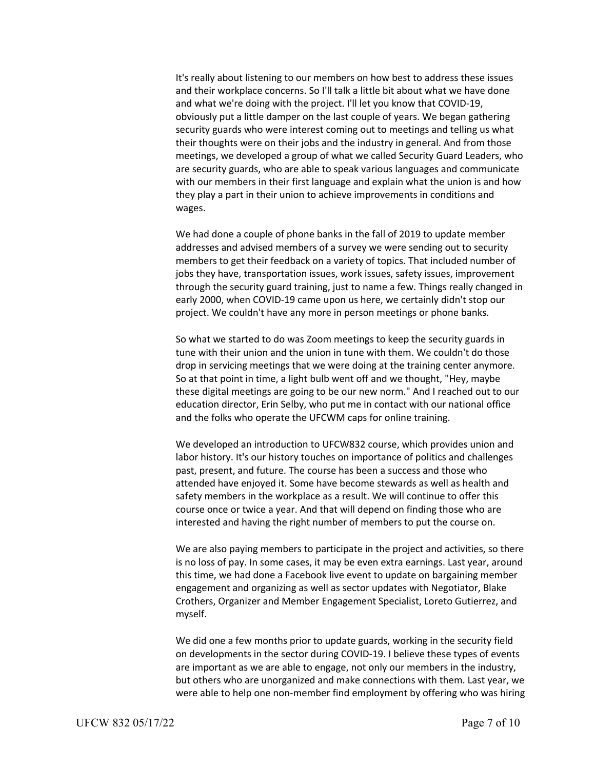It's really about listening to our members on how best to address these issues and their workplace concerns. So I'll talk a little bit about what we have done and what we're doing with the project. I'll let you know that COVID-19, obviously put a little damper on the last couple of years. We began gathering security guards who were interest coming out to meetings and telling us what their thoughts were on their jobs and the industry in general. And from those meetings, we developed a group of what we called Security Guard Leaders, who are security guards, who are able to speak various languages and communicate with our members in their first language and explain what the union is and how they play a part in their union to achieve improvements in conditions and wages.

We had done a couple of phone banks in the fall of 2019 to update member addresses and advised members of a survey we were sending out to security members to get their feedback on a variety of topics. That included number of jobs they have, transportation issues, work issues, safety issues, improvement through the security guard training, just to name a few. Things really changed in early 2000, when COVID-19 came upon us here, we certainly didn't stop our project. We couldn't have any more in person meetings or phone banks.

So what we started to do was Zoom meetings to keep the security guards in tune with their union and the union in tune with them. We couldn't do those drop in servicing meetings that we were doing at the training center anymore. So at that point in time, a light bulb went off and we thought, "Hey, maybe these digital meetings are going to be our new norm." And I reached out to our education director, Erin Selby, who put me in contact with our national office and the folks who operate the UFCWM caps for online training.

We developed an introduction to UFCW832 course, which provides union and labor history. It's our history touches on importance of politics and challenges past, present, and future. The course has been a success and those who attended have enjoyed it. Some have become stewards as well as health and safety members in the workplace as a result. We will continue to offer this course once or twice a year. And that will depend on finding those who are interested and having the right number of members to put the course on.

We are also paying members to participate in the project and activities, so there is no loss of pay. In some cases, it may be even extra earnings. Last year, around this time, we had done a Facebook live event to update on bargaining member engagement and organizing as well as sector updates with Negotiator, Blake Crothers, Organizer and Member Engagement Specialist, Loreto Gutierrez, and myself.

We did one a few months prior to update guards, working in the security field on developments in the sector during COVID-19. I believe these types of events are important as we are able to engage, not only our members in the industry, but others who are unorganized and make connections with them. Last year, we were able to help one non-member find employment by offering who was hiring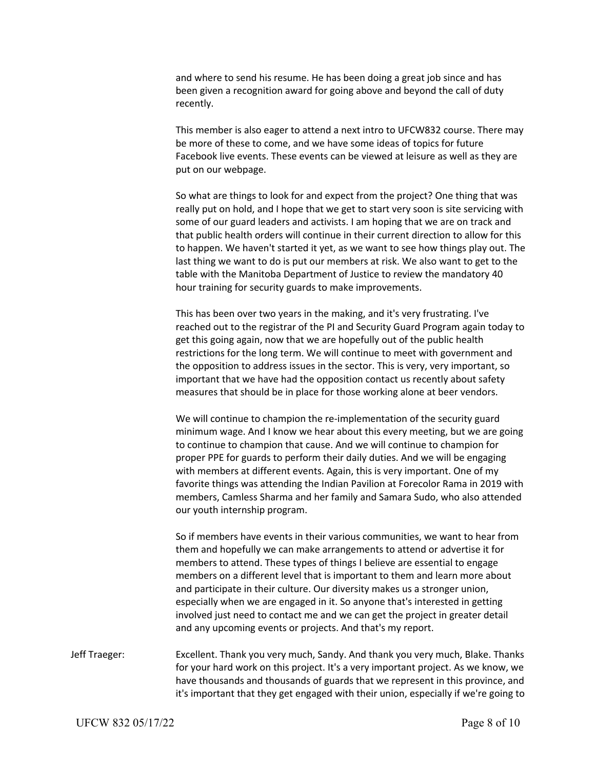and where to send his resume. He has been doing a great job since and has been given a recognition award for going above and beyond the call of duty recently.

This member is also eager to attend a next intro to UFCW832 course. There may be more of these to come, and we have some ideas of topics for future Facebook live events. These events can be viewed at leisure as well as they are put on our webpage.

So what are things to look for and expect from the project? One thing that was really put on hold, and I hope that we get to start very soon is site servicing with some of our guard leaders and activists. I am hoping that we are on track and that public health orders will continue in their current direction to allow for this to happen. We haven't started it yet, as we want to see how things play out. The last thing we want to do is put our members at risk. We also want to get to the table with the Manitoba Department of Justice to review the mandatory 40 hour training for security guards to make improvements.

This has been over two years in the making, and it's very frustrating. I've reached out to the registrar of the PI and Security Guard Program again today to get this going again, now that we are hopefully out of the public health restrictions for the long term. We will continue to meet with government and the opposition to address issues in the sector. This is very, very important, so important that we have had the opposition contact us recently about safety measures that should be in place for those working alone at beer vendors.

We will continue to champion the re-implementation of the security guard minimum wage. And I know we hear about this every meeting, but we are going to continue to champion that cause. And we will continue to champion for proper PPE for guards to perform their daily duties. And we will be engaging with members at different events. Again, this is very important. One of my favorite things was attending the Indian Pavilion at Forecolor Rama in 2019 with members, Camless Sharma and her family and Samara Sudo, who also attended our youth internship program.

So if members have events in their various communities, we want to hear from them and hopefully we can make arrangements to attend or advertise it for members to attend. These types of things I believe are essential to engage members on a different level that is important to them and learn more about and participate in their culture. Our diversity makes us a stronger union, especially when we are engaged in it. So anyone that's interested in getting involved just need to contact me and we can get the project in greater detail and any upcoming events or projects. And that's my report.

Jeff Traeger: Excellent. Thank you very much, Sandy. And thank you very much, Blake. Thanks for your hard work on this project. It's a very important project. As we know, we have thousands and thousands of guards that we represent in this province, and it's important that they get engaged with their union, especially if we're going to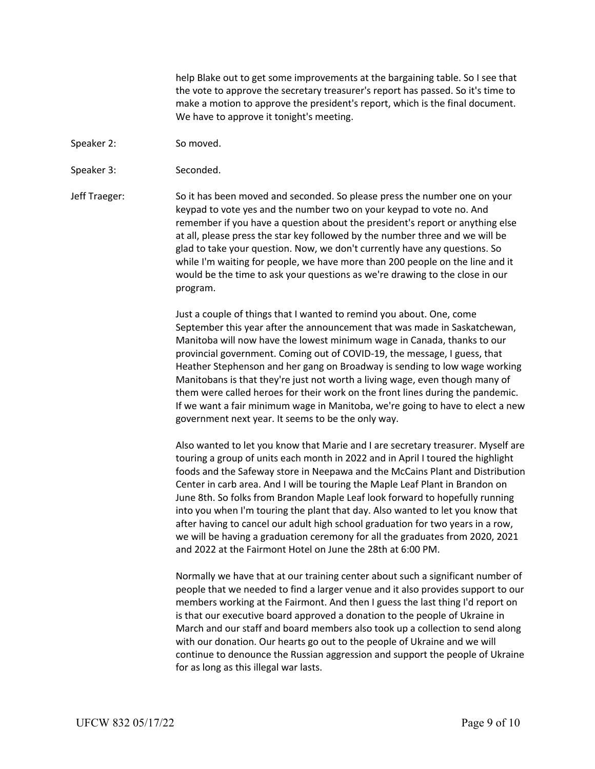help Blake out to get some improvements at the bargaining table. So I see that the vote to approve the secretary treasurer's report has passed. So it's time to make a motion to approve the president's report, which is the final document. We have to approve it tonight's meeting.

- Speaker 2: So moved.
- Speaker 3: Seconded.

Jeff Traeger: So it has been moved and seconded. So please press the number one on your keypad to vote yes and the number two on your keypad to vote no. And remember if you have a question about the president's report or anything else at all, please press the star key followed by the number three and we will be glad to take your question. Now, we don't currently have any questions. So while I'm waiting for people, we have more than 200 people on the line and it would be the time to ask your questions as we're drawing to the close in our program.

> Just a couple of things that I wanted to remind you about. One, come September this year after the announcement that was made in Saskatchewan, Manitoba will now have the lowest minimum wage in Canada, thanks to our provincial government. Coming out of COVID-19, the message, I guess, that Heather Stephenson and her gang on Broadway is sending to low wage working Manitobans is that they're just not worth a living wage, even though many of them were called heroes for their work on the front lines during the pandemic. If we want a fair minimum wage in Manitoba, we're going to have to elect a new government next year. It seems to be the only way.

> Also wanted to let you know that Marie and I are secretary treasurer. Myself are touring a group of units each month in 2022 and in April I toured the highlight foods and the Safeway store in Neepawa and the McCains Plant and Distribution Center in carb area. And I will be touring the Maple Leaf Plant in Brandon on June 8th. So folks from Brandon Maple Leaf look forward to hopefully running into you when I'm touring the plant that day. Also wanted to let you know that after having to cancel our adult high school graduation for two years in a row, we will be having a graduation ceremony for all the graduates from 2020, 2021 and 2022 at the Fairmont Hotel on June the 28th at 6:00 PM.

> Normally we have that at our training center about such a significant number of people that we needed to find a larger venue and it also provides support to our members working at the Fairmont. And then I guess the last thing I'd report on is that our executive board approved a donation to the people of Ukraine in March and our staff and board members also took up a collection to send along with our donation. Our hearts go out to the people of Ukraine and we will continue to denounce the Russian aggression and support the people of Ukraine for as long as this illegal war lasts.